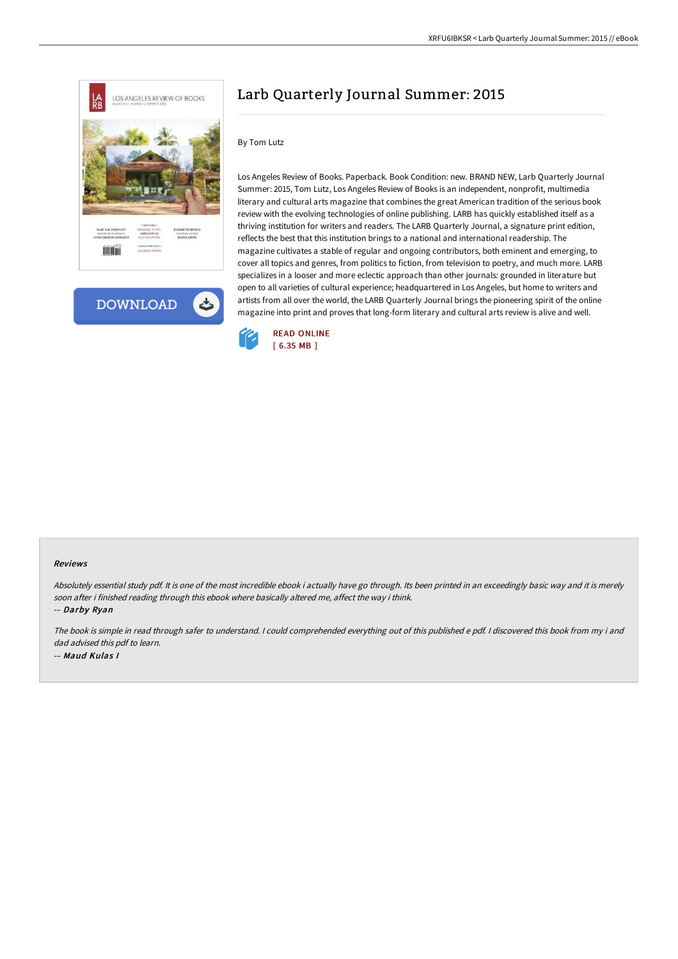



## Larb Quarterly Journal Summer: 2015

## By Tom Lutz

Los Angeles Review of Books. Paperback. Book Condition: new. BRAND NEW, Larb Quarterly Journal Summer: 2015, Tom Lutz, Los Angeles Review of Books is an independent, nonprofit, multimedia literary and cultural arts magazine that combines the great American tradition of the serious book review with the evolving technologies of online publishing. LARB has quickly established itself as a thriving institution for writers and readers. The LARB Quarterly Journal, a signature print edition, reflects the best that this institution brings to a national and international readership. The magazine cultivates a stable of regular and ongoing contributors, both eminent and emerging, to cover all topics and genres, from politics to fiction, from television to poetry, and much more. LARB specializes in a looser and more eclectic approach than other journals: grounded in literature but open to all varieties of cultural experience; headquartered in Los Angeles, but home to writers and artists from all over the world, the LARB Quarterly Journal brings the pioneering spirit of the online magazine into print and proves that long-form literary and cultural arts review is alive and well.



## Reviews

Absolutely essential study pdf. It is one of the most incredible ebook i actually have go through. Its been printed in an exceedingly basic way and it is merely soon after i finished reading through this ebook where basically altered me, affect the way i think.

-- Darby Ryan

The book is simple in read through safer to understand. <sup>I</sup> could comprehended everything out of this published <sup>e</sup> pdf. <sup>I</sup> discovered this book from my i and dad advised this pdf to learn. -- Maud Kulas I